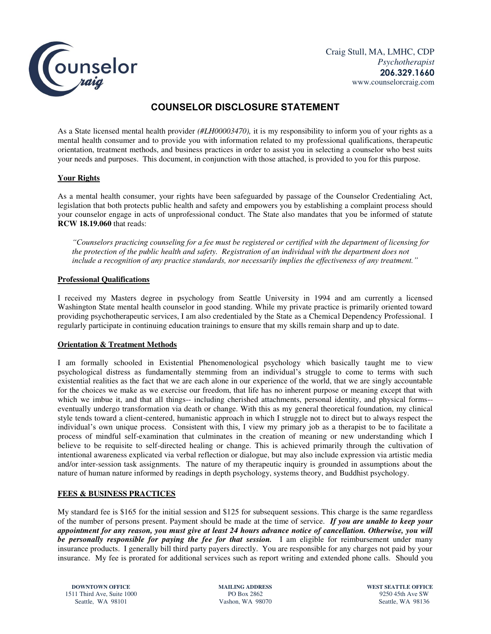

# **COUNSELOR DISCLOSURE STATEMENT**

As a State licensed mental health provider *(#LH00003470),* it is my responsibility to inform you of your rights as a mental health consumer and to provide you with information related to my professional qualifications, therapeutic orientation, treatment methods, and business practices in order to assist you in selecting a counselor who best suits your needs and purposes. This document, in conjunction with those attached, is provided to you for this purpose.

## **Your Rights**

As a mental health consumer, your rights have been safeguarded by passage of the Counselor Credentialing Act, legislation that both protects public health and safety and empowers you by establishing a complaint process should your counselor engage in acts of unprofessional conduct. The State also mandates that you be informed of statute **RCW 18.19.060** that reads:

*"Counselors practicing counseling for a fee must be registered or certified with the department of licensing for the protection of the public health and safety. Registration of an individual with the department does not include a recognition of any practice standards, nor necessarily implies the effectiveness of any treatment."*

### **Professional Qualifications**

I received my Masters degree in psychology from Seattle University in 1994 and am currently a licensed Washington State mental health counselor in good standing. While my private practice is primarily oriented toward providing psychotherapeutic services, I am also credentialed by the State as a Chemical Dependency Professional. I regularly participate in continuing education trainings to ensure that my skills remain sharp and up to date.

### **Orientation & Treatment Methods**

I am formally schooled in Existential Phenomenological psychology which basically taught me to view psychological distress as fundamentally stemming from an individual's struggle to come to terms with such existential realities as the fact that we are each alone in our experience of the world, that we are singly accountable for the choices we make as we exercise our freedom, that life has no inherent purpose or meaning except that with which we imbue it, and that all things-- including cherished attachments, personal identity, and physical forms-eventually undergo transformation via death or change. With this as my general theoretical foundation, my clinical style tends toward a client-centered, humanistic approach in which I struggle not to direct but to always respect the individual's own unique process. Consistent with this, I view my primary job as a therapist to be to facilitate a process of mindful self-examination that culminates in the creation of meaning or new understanding which I believe to be requisite to self-directed healing or change. This is achieved primarily through the cultivation of intentional awareness explicated via verbal reflection or dialogue, but may also include expression via artistic media and/or inter-session task assignments. The nature of my therapeutic inquiry is grounded in assumptions about the nature of human nature informed by readings in depth psychology, systems theory, and Buddhist psychology.

### **FEES & BUSINESS PRACTICES**

My standard fee is \$165 for the initial session and \$125 for subsequent sessions. This charge is the same regardless of the number of persons present. Payment should be made at the time of service. *If you are unable to keep your appointment for any reason, you must give at least 24 hours advance notice of cancellation. Otherwise, you will be personally responsible for paying the fee for that session.* I am eligible for reimbursement under many insurance products. I generally bill third party payers directly. You are responsible for any charges not paid by your insurance. My fee is prorated for additional services such as report writing and extended phone calls. Should you

**DOWNTOWN OFFICE MAILING ADDRESS WEST SEATTLE OFFICE**<br>
11 Third Ave. Suite 1000 **PO Box 2862 PO Box 2862 PO Box 2862 PO BOX 2862 PO BOX 2862 PO BOX 2862 PO BOX 2862** 1511 Third Ave, Suite 1000 PO Box 2862 9250 45th Ave SW<br>Seattle, WA 98101 Vashon, WA 98070 Seattle, WA 98136 Seattle, WA 98101